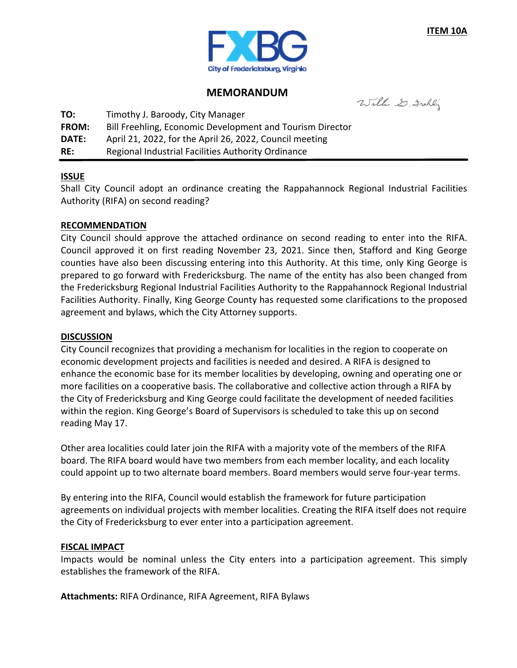

### **MEMORANDUM**

Willie D. Frakly

**TO:** Timothy J. Baroody, City Manager

**FROM:** Bill Freehling, Economic Development and Tourism Director

**DATE:** April 21, 2022, for the April 26, 2022, Council meeting

**RE:** Regional Industrial Facilities Authority Ordinance

#### **ISSUE**

Shall City Council adopt an ordinance creating the Rappahannock Regional Industrial Facilities Authority (RIFA) on second reading?

#### **RECOMMENDATION**

City Council should approve the attached ordinance on second reading to enter into the RIFA. Council approved it on first reading November 23, 2021. Since then, Stafford and King George counties have also been discussing entering into this Authority. At this time, only King George is prepared to go forward with Fredericksburg. The name of the entity has also been changed from the Fredericksburg Regional Industrial Facilities Authority to the Rappahannock Regional Industrial Facilities Authority. Finally, King George County has requested some clarifications to the proposed agreement and bylaws, which the City Attorney supports.

#### **DISCUSSION**

City Council recognizes that providing a mechanism for localities in the region to cooperate on economic development projects and facilities is needed and desired. A RIFA is designed to enhance the economic base for its member localities by developing, owning and operating one or more facilities on a cooperative basis. The collaborative and collective action through a RIFA by the City of Fredericksburg and King George could facilitate the development of needed facilities within the region. King George's Board of Supervisors is scheduled to take this up on second reading May 17.

Other area localities could later join the RIFA with a majority vote of the members of the RIFA board. The RIFA board would have two members from each member locality, and each locality could appoint up to two alternate board members. Board members would serve four‐year terms.

By entering into the RIFA, Council would establish the framework for future participation agreements on individual projects with member localities. Creating the RIFA itself does not require the City of Fredericksburg to ever enter into a participation agreement.

## **FISCAL IMPACT**

Impacts would be nominal unless the City enters into a participation agreement. This simply establishes the framework of the RIFA.

**Attachments:** RIFA Ordinance, RIFA Agreement, RIFA Bylaws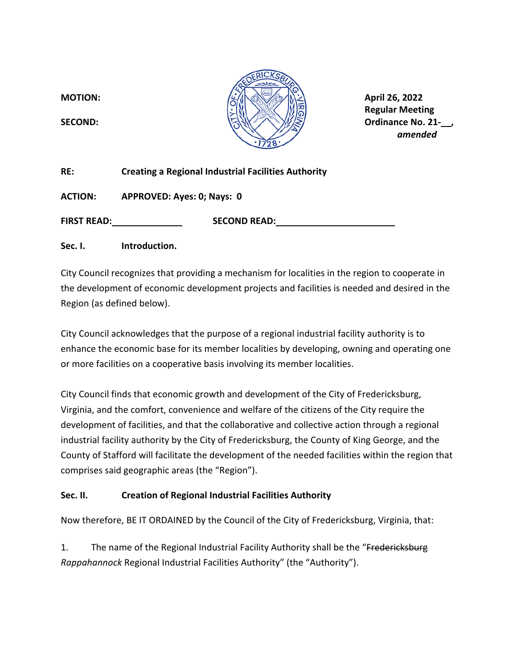

 **Regular Meeting SECOND: Ordinance No. 21‐\_\_,** 

| RE:                | <b>Creating a Regional Industrial Facilities Authority</b> |
|--------------------|------------------------------------------------------------|
| <b>ACTION:</b>     | APPROVED: Ayes: 0; Nays: 0                                 |
| <b>FIRST READ:</b> | <b>SECOND READ:</b>                                        |
| Sec. I.            | Introduction.                                              |

City Council recognizes that providing a mechanism for localities in the region to cooperate in the development of economic development projects and facilities is needed and desired in the Region (as defined below).

City Council acknowledges that the purpose of a regional industrial facility authority is to enhance the economic base for its member localities by developing, owning and operating one or more facilities on a cooperative basis involving its member localities.

City Council finds that economic growth and development of the City of Fredericksburg, Virginia, and the comfort, convenience and welfare of the citizens of the City require the development of facilities, and that the collaborative and collective action through a regional industrial facility authority by the City of Fredericksburg, the County of King George, and the County of Stafford will facilitate the development of the needed facilities within the region that comprises said geographic areas (the "Region").

## **Sec. II. Creation of Regional Industrial Facilities Authority**

Now therefore, BE IT ORDAINED by the Council of the City of Fredericksburg, Virginia, that:

1. The name of the Regional Industrial Facility Authority shall be the "Fredericksburg" *Rappahannock* Regional Industrial Facilities Authority" (the "Authority").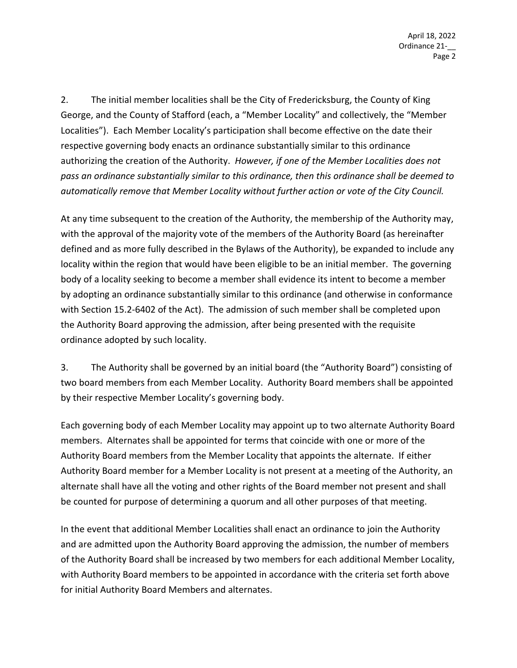2. The initial member localities shall be the City of Fredericksburg, the County of King George, and the County of Stafford (each, a "Member Locality" and collectively, the "Member Localities"). Each Member Locality's participation shall become effective on the date their respective governing body enacts an ordinance substantially similar to this ordinance authorizing the creation of the Authority. *However, if one of the Member Localities does not pass an ordinance substantially similar to this ordinance, then this ordinance shall be deemed to automatically remove that Member Locality without further action or vote of the City Council.* 

At any time subsequent to the creation of the Authority, the membership of the Authority may, with the approval of the majority vote of the members of the Authority Board (as hereinafter defined and as more fully described in the Bylaws of the Authority), be expanded to include any locality within the region that would have been eligible to be an initial member. The governing body of a locality seeking to become a member shall evidence its intent to become a member by adopting an ordinance substantially similar to this ordinance (and otherwise in conformance with Section 15.2‐6402 of the Act). The admission of such member shall be completed upon the Authority Board approving the admission, after being presented with the requisite ordinance adopted by such locality.

3. The Authority shall be governed by an initial board (the "Authority Board") consisting of two board members from each Member Locality. Authority Board members shall be appointed by their respective Member Locality's governing body.

Each governing body of each Member Locality may appoint up to two alternate Authority Board members. Alternates shall be appointed for terms that coincide with one or more of the Authority Board members from the Member Locality that appoints the alternate. If either Authority Board member for a Member Locality is not present at a meeting of the Authority, an alternate shall have all the voting and other rights of the Board member not present and shall be counted for purpose of determining a quorum and all other purposes of that meeting.

In the event that additional Member Localities shall enact an ordinance to join the Authority and are admitted upon the Authority Board approving the admission, the number of members of the Authority Board shall be increased by two members for each additional Member Locality, with Authority Board members to be appointed in accordance with the criteria set forth above for initial Authority Board Members and alternates.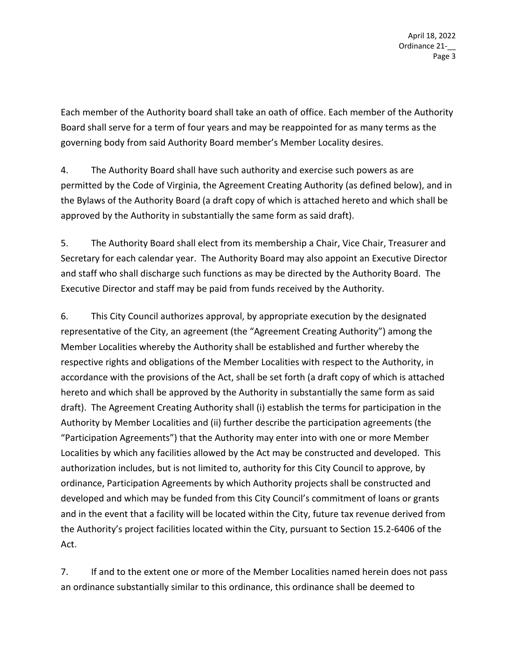Each member of the Authority board shall take an oath of office. Each member of the Authority Board shall serve for a term of four years and may be reappointed for as many terms as the governing body from said Authority Board member's Member Locality desires.

4. The Authority Board shall have such authority and exercise such powers as are permitted by the Code of Virginia, the Agreement Creating Authority (as defined below), and in the Bylaws of the Authority Board (a draft copy of which is attached hereto and which shall be approved by the Authority in substantially the same form as said draft).

5. The Authority Board shall elect from its membership a Chair, Vice Chair, Treasurer and Secretary for each calendar year. The Authority Board may also appoint an Executive Director and staff who shall discharge such functions as may be directed by the Authority Board. The Executive Director and staff may be paid from funds received by the Authority.

6. This City Council authorizes approval, by appropriate execution by the designated representative of the City, an agreement (the "Agreement Creating Authority") among the Member Localities whereby the Authority shall be established and further whereby the respective rights and obligations of the Member Localities with respect to the Authority, in accordance with the provisions of the Act, shall be set forth (a draft copy of which is attached hereto and which shall be approved by the Authority in substantially the same form as said draft). The Agreement Creating Authority shall (i) establish the terms for participation in the Authority by Member Localities and (ii) further describe the participation agreements (the "Participation Agreements") that the Authority may enter into with one or more Member Localities by which any facilities allowed by the Act may be constructed and developed. This authorization includes, but is not limited to, authority for this City Council to approve, by ordinance, Participation Agreements by which Authority projects shall be constructed and developed and which may be funded from this City Council's commitment of loans or grants and in the event that a facility will be located within the City, future tax revenue derived from the Authority's project facilities located within the City, pursuant to Section 15.2‐6406 of the Act.

7. If and to the extent one or more of the Member Localities named herein does not pass an ordinance substantially similar to this ordinance, this ordinance shall be deemed to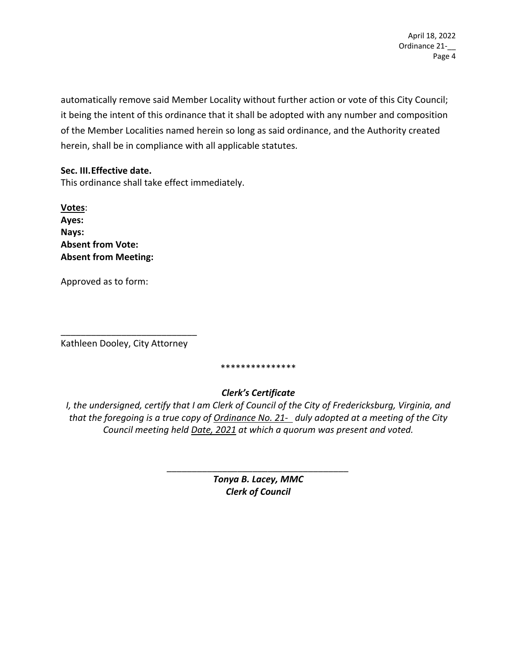automatically remove said Member Locality without further action or vote of this City Council; it being the intent of this ordinance that it shall be adopted with any number and composition of the Member Localities named herein so long as said ordinance, and the Authority created herein, shall be in compliance with all applicable statutes.

#### **Sec. III. Effective date.**

This ordinance shall take effect immediately.

**Votes**: **Ayes: Nays: Absent from Vote: Absent from Meeting:** 

Approved as to form:

\_\_\_\_\_\_\_\_\_\_\_\_\_\_\_\_\_\_\_\_\_\_\_\_\_\_\_ Kathleen Dooley, City Attorney

\*\*\*\*\*\*\*\*\*\*\*\*\*\*\*

## *Clerk's Certificate*

*I, the undersigned, certify that I am Clerk of Council of the City of Fredericksburg, Virginia, and that the foregoing is a true copy of Ordinance No. 21‐ duly adopted at a meeting of the City Council meeting held Date, 2021 at which a quorum was present and voted.* 

> *Tonya B. Lacey, MMC Clerk of Council*

*\_\_\_\_\_\_\_\_\_\_\_\_\_\_\_\_\_\_\_\_\_\_\_\_\_\_\_\_\_\_\_\_\_\_\_\_*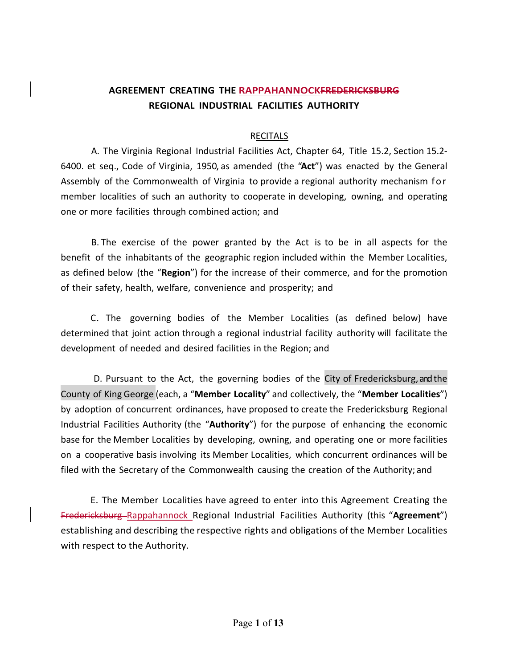## **AGREEMENT CREATING THE RAPPAHANNOCKFREDERICKSBURG REGIONAL INDUSTRIAL FACILITIES AUTHORITY**

#### RECITALS

A. The Virginia Regional Industrial Facilities Act, Chapter 64, Title 15.2, Section 15.2‐ 6400. et seq., Code of Virginia, 1950, as amended (the "**Act**") was enacted by the General Assembly of the Commonwealth of Virginia to provide a regional authority mechanism for member localities of such an authority to cooperate in developing, owning, and operating one or more facilities through combined action; and

B. The exercise of the power granted by the Act is to be in all aspects for the benefit of the inhabitants of the geographic region included within the Member Localities, as defined below (the "**Region**") for the increase of their commerce, and for the promotion of their safety, health, welfare, convenience and prosperity; and

C. The governing bodies of the Member Localities (as defined below) have determined that joint action through a regional industrial facility authority will facilitate the development of needed and desired facilities in the Region; and

D. Pursuant to the Act, the governing bodies of the City of Fredericksburg, and the County of King George (each, a "**Member Locality**" and collectively, the "**Member Localities**") by adoption of concurrent ordinances, have proposed to create the Fredericksburg Regional Industrial Facilities Authority (the "**Authority**") for the purpose of enhancing the economic base for the Member Localities by developing, owning, and operating one or more facilities on a cooperative basis involving its Member Localities, which concurrent ordinances will be filed with the Secretary of the Commonwealth causing the creation of the Authority; and

E. The Member Localities have agreed to enter into this Agreement Creating the Fredericksburg Rappahannock Regional Industrial Facilities Authority (this "**Agreement**") establishing and describing the respective rights and obligations of the Member Localities with respect to the Authority.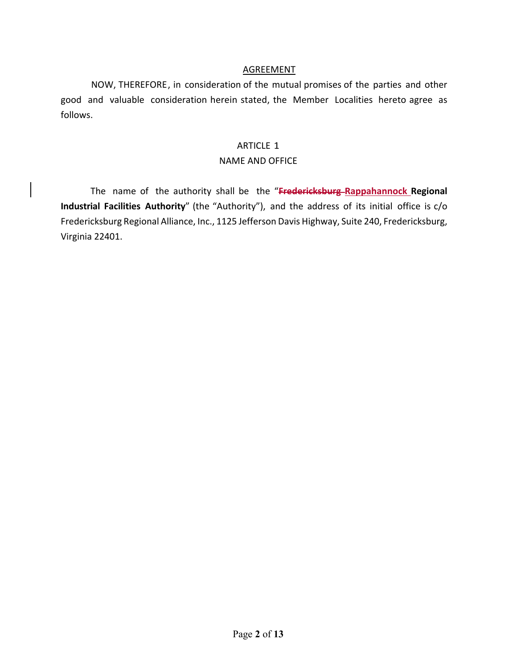#### AGREEMENT

NOW, THEREFORE, in consideration of the mutual promises of the parties and other good and valuable consideration herein stated, the Member Localities hereto agree as follows.

#### ARTICLE 1

#### NAME AND OFFICE

The name of the authority shall be the "**Fredericksburg Rappahannock Regional Industrial Facilities Authority**" (the "Authority"), and the address of its initial office is c/o Fredericksburg Regional Alliance, Inc., 1125 Jefferson Davis Highway, Suite 240, Fredericksburg, Virginia 22401.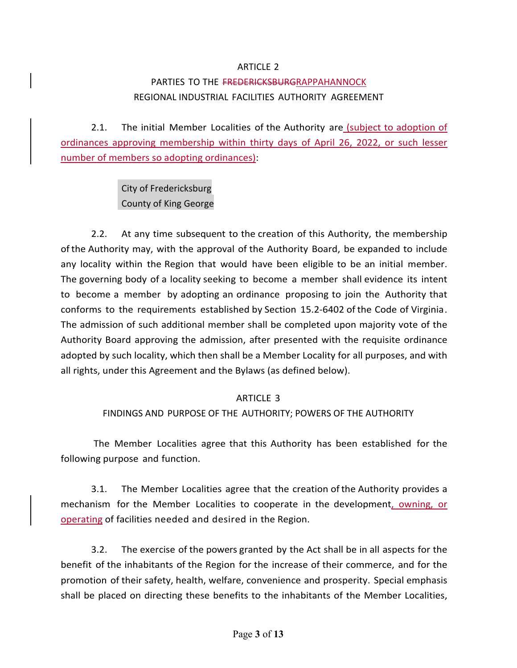#### ARTICLE 2

## PARTIES TO THE FREDERICKSBURGRAPPAHANNOCK REGIONAL INDUSTRIAL FACILITIES AUTHORITY AGREEMENT

2.1. The initial Member Localities of the Authority are *(subject to adoption of* ordinances approving membership within thirty days of April 26, 2022, or such lesser number of members so adopting ordinances):

> City of Fredericksburg County of King George

2.2. At any time subsequent to the creation of this Authority, the membership of the Authority may, with the approval of the Authority Board, be expanded to include any locality within the Region that would have been eligible to be an initial member. The governing body of a locality seeking to become a member shall evidence its intent to become a member by adopting an ordinance proposing to join the Authority that conforms to the requirements established by Section 15.2‐6402 of the Code of Virginia. The admission of such additional member shall be completed upon majority vote of the Authority Board approving the admission, after presented with the requisite ordinance adopted by such locality, which then shall be a Member Locality for all purposes, and with all rights, under this Agreement and the Bylaws (as defined below).

#### ARTICLE 3

#### FINDINGS AND PURPOSE OF THE AUTHORITY; POWERS OF THE AUTHORITY

The Member Localities agree that this Authority has been established for the following purpose and function.

3.1. The Member Localities agree that the creation of the Authority provides a mechanism for the Member Localities to cooperate in the development, owning, or operating of facilities needed and desired in the Region.

 3.2. The exercise of the powers granted by the Act shall be in all aspects for the benefit of the inhabitants of the Region for the increase of their commerce, and for the promotion of their safety, health, welfare, convenience and prosperity. Special emphasis shall be placed on directing these benefits to the inhabitants of the Member Localities,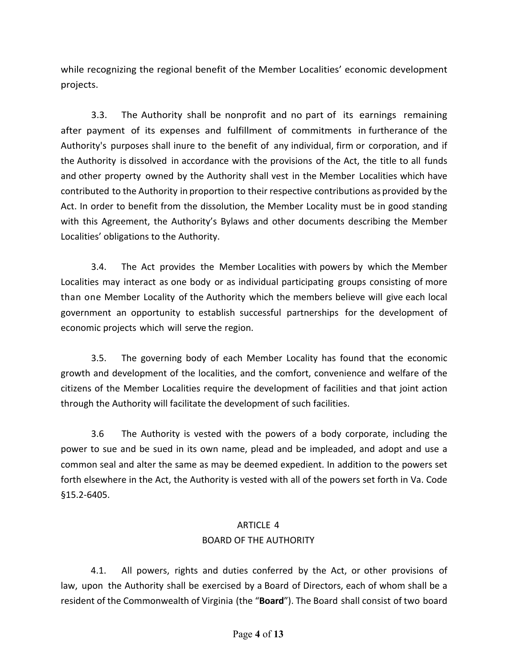while recognizing the regional benefit of the Member Localities' economic development projects.

3.3. The Authority shall be nonprofit and no part of its earnings remaining after payment of its expenses and fulfillment of commitments in furtherance of the Authority's purposes shall inure to the benefit of any individual, firm or corporation, and if the Authority is dissolved in accordance with the provisions of the Act, the title to all funds and other property owned by the Authority shall vest in the Member Localities which have contributed to the Authority in proportion to their respective contributions as provided by the Act. In order to benefit from the dissolution, the Member Locality must be in good standing with this Agreement, the Authority's Bylaws and other documents describing the Member Localities' obligations to the Authority.

3.4. The Act provides the Member Localities with powers by which the Member Localities may interact as one body or as individual participating groups consisting of more than one Member Locality of the Authority which the members believe will give each local government an opportunity to establish successful partnerships for the development of economic projects which will serve the region.

3.5. The governing body of each Member Locality has found that the economic growth and development of the localities, and the comfort, convenience and welfare of the citizens of the Member Localities require the development of facilities and that joint action through the Authority will facilitate the development of such facilities.

3.6 The Authority is vested with the powers of a body corporate, including the power to sue and be sued in its own name, plead and be impleaded, and adopt and use a common seal and alter the same as may be deemed expedient. In addition to the powers set forth elsewhere in the Act, the Authority is vested with all of the powers set forth in Va. Code §15.2‐6405.

# ARTICLE 4 BOARD OF THE AUTHORITY

4.1. All powers, rights and duties conferred by the Act, or other provisions of law, upon the Authority shall be exercised by a Board of Directors, each of whom shall be a resident of the Commonwealth of Virginia (the "**Board**"). The Board shall consist of two board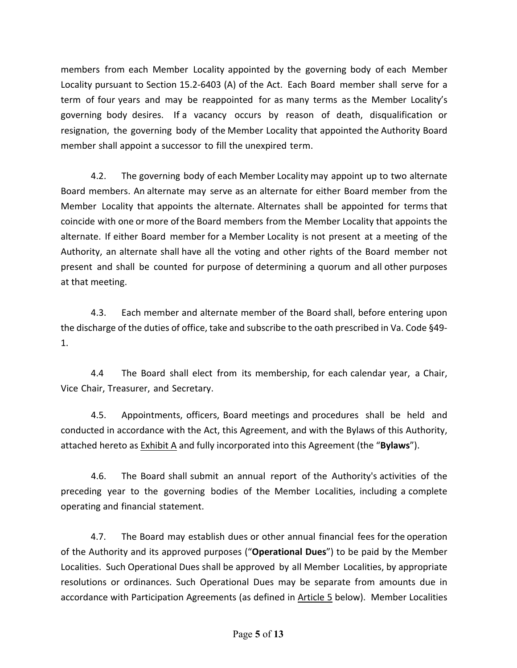members from each Member Locality appointed by the governing body of each Member Locality pursuant to Section 15.2-6403 (A) of the Act. Each Board member shall serve for a term of four years and may be reappointed for as many terms as the Member Locality's governing body desires. If a vacancy occurs by reason of death, disqualification or resignation, the governing body of the Member Locality that appointed the Authority Board member shall appoint a successor to fill the unexpired term.

4.2. The governing body of each Member Locality may appoint up to two alternate Board members. An alternate may serve as an alternate for either Board member from the Member Locality that appoints the alternate. Alternates shall be appointed for terms that coincide with one or more of the Board members from the Member Locality that appoints the alternate. If either Board member for a Member Locality is not present at a meeting of the Authority, an alternate shall have all the voting and other rights of the Board member not present and shall be counted for purpose of determining a quorum and all other purposes at that meeting.

4.3. Each member and alternate member of the Board shall, before entering upon the discharge of the duties of office, take and subscribe to the oath prescribed in Va. Code §49‐ 1.

4.4 The Board shall elect from its membership, for each calendar year, a Chair, Vice Chair, Treasurer, and Secretary.

4.5. Appointments, officers, Board meetings and procedures shall be held and conducted in accordance with the Act, this Agreement, and with the Bylaws of this Authority, attached hereto as Exhibit A and fully incorporated into this Agreement (the "**Bylaws**").

4.6. The Board shall submit an annual report of the Authority's activities of the preceding year to the governing bodies of the Member Localities, including a complete operating and financial statement.

4.7. The Board may establish dues or other annual financial fees for the operation of the Authority and its approved purposes ("**Operational Dues**") to be paid by the Member Localities. Such Operational Dues shall be approved by all Member Localities, by appropriate resolutions or ordinances. Such Operational Dues may be separate from amounts due in accordance with Participation Agreements (as defined in Article 5 below). Member Localities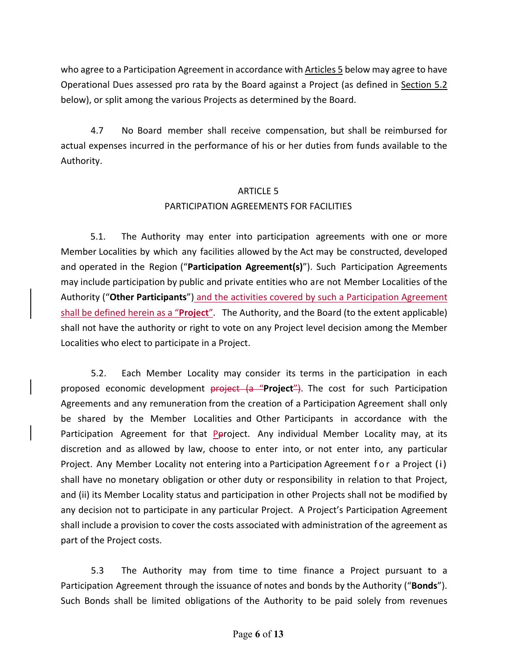who agree to a Participation Agreement in accordance with Articles 5 below may agree to have Operational Dues assessed pro rata by the Board against a Project (as defined in Section 5.2 below), or split among the various Projects as determined by the Board.

4.7 No Board member shall receive compensation, but shall be reimbursed for actual expenses incurred in the performance of his or her duties from funds available to the Authority.

# ARTICLE 5 PARTICIPATION AGREEMENTS FOR FACILITIES

5.1. The Authority may enter into participation agreements with one or more Member Localities by which any facilities allowed by the Act may be constructed, developed and operated in the Region ("**Participation Agreement(s)**"). Such Participation Agreements may include participation by public and private entities who are not Member Localities of the Authority ("**Other Participants**") and the activities covered by such a Participation Agreement shall be defined herein as a "**Project**". The Authority, and the Board (to the extent applicable) shall not have the authority or right to vote on any Project level decision among the Member Localities who elect to participate in a Project.

5.2. Each Member Locality may consider its terms in the participation in each proposed economic development **project (a "Project")**. The cost for such Participation Agreements and any remuneration from the creation of a Participation Agreement shall only be shared by the Member Localities and Other Participants in accordance with the Participation Agreement for that Pproject. Any individual Member Locality may, at its discretion and as allowed by law, choose to enter into, or not enter into, any particular Project. Any Member Locality not entering into a Participation Agreement for a Project (i) shall have no monetary obligation or other duty or responsibility in relation to that Project, and (ii) its Member Locality status and participation in other Projects shall not be modified by any decision not to participate in any particular Project. A Project's Participation Agreement shall include a provision to cover the costs associated with administration of the agreement as part of the Project costs.

5.3 The Authority may from time to time finance a Project pursuant to a Participation Agreement through the issuance of notes and bonds by the Authority ("**Bonds**"). Such Bonds shall be limited obligations of the Authority to be paid solely from revenues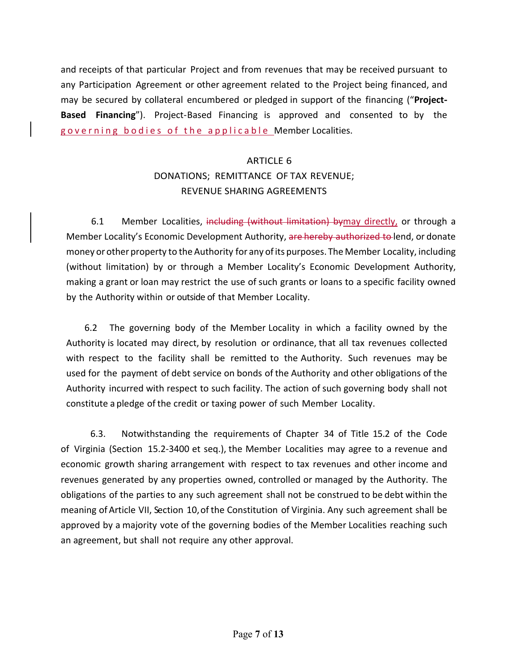and receipts of that particular Project and from revenues that may be received pursuant to any Participation Agreement or other agreement related to the Project being financed, and may be secured by collateral encumbered or pledged in support of the financing ("Project-**Based Financing**"). Project-Based Financing is approved and consented to by the governing bodies of the applicable Member Localities.

# ARTICLE 6 DONATIONS; REMITTANCE OF TAX REVENUE; REVENUE SHARING AGREEMENTS

6.1 Member Localities, including (without limitation) bymay directly, or through a Member Locality's Economic Development Authority, are hereby authorized to lend, or donate money or other property to the Authority for any of its purposes. The Member Locality, including (without limitation) by or through a Member Locality's Economic Development Authority, making a grant or loan may restrict the use of such grants or loans to a specific facility owned by the Authority within or outside of that Member Locality.

6.2 The governing body of the Member Locality in which a facility owned by the Authority is located may direct, by resolution or ordinance, that all tax revenues collected with respect to the facility shall be remitted to the Authority. Such revenues may be used for the payment of debt service on bonds of the Authority and other obligations of the Authority incurred with respect to such facility. The action of such governing body shall not constitute a pledge of the credit or taxing power of such Member Locality.

6.3. Notwithstanding the requirements of Chapter 34 of Title 15.2 of the Code of Virginia (Section 15.2‐3400 et seq.), the Member Localities may agree to a revenue and economic growth sharing arrangement with respect to tax revenues and other income and revenues generated by any properties owned, controlled or managed by the Authority. The obligations of the parties to any such agreement shall not be construed to be debt within the meaning of Article VII, Section 10, of the Constitution of Virginia. Any such agreement shall be approved by a majority vote of the governing bodies of the Member Localities reaching such an agreement, but shall not require any other approval.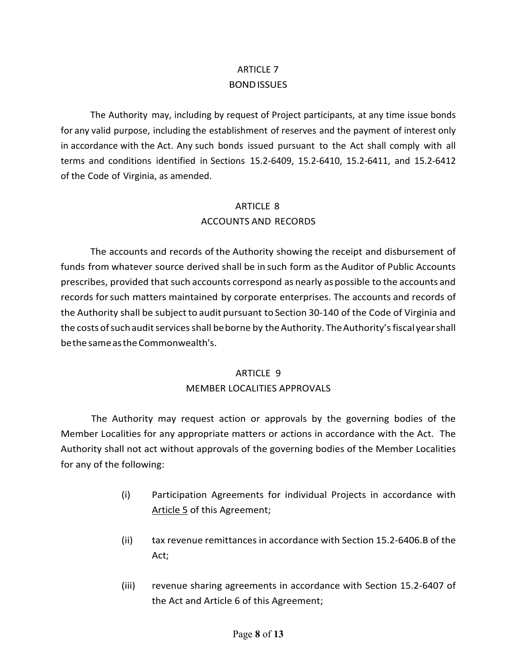# ARTICLE 7 BOND ISSUES

The Authority may, including by request of Project participants, at any time issue bonds for any valid purpose, including the establishment of reserves and the payment of interest only in accordance with the Act. Any such bonds issued pursuant to the Act shall comply with all terms and conditions identified in Sections 15.2‐6409, 15.2‐6410, 15.2‐6411, and 15.2‐6412 of the Code of Virginia, as amended.

#### ARTICLE 8

#### ACCOUNTS AND RECORDS

The accounts and records of the Authority showing the receipt and disbursement of funds from whatever source derived shall be in such form as the Auditor of Public Accounts prescribes, provided that such accounts correspond as nearly as possible to the accounts and records for such matters maintained by corporate enterprises. The accounts and records of the Authority shall be subject to audit pursuant to Section 30‐140 of the Code of Virginia and the costs of such audit services shall be borne by the Authority. The Authority's fiscal year shall be the same as the Commonwealth's.

#### ARTICLE 9

#### MEMBER LOCALITIES APPROVALS

The Authority may request action or approvals by the governing bodies of the Member Localities for any appropriate matters or actions in accordance with the Act. The Authority shall not act without approvals of the governing bodies of the Member Localities for any of the following:

- (i) Participation Agreements for individual Projects in accordance with Article 5 of this Agreement;
- (ii) tax revenue remittances in accordance with Section 15.2‐6406.B of the Act;
- (iii) revenue sharing agreements in accordance with Section 15.2‐6407 of the Act and Article 6 of this Agreement;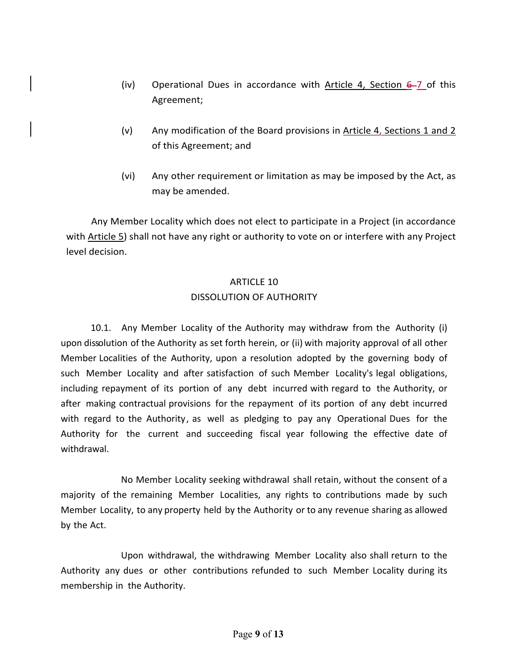- (iv) Operational Dues in accordance with Article 4, Section  $6-7$  of this Agreement;
- (v) Any modification of the Board provisions in Article 4, Sections 1 and 2 of this Agreement; and
- (vi) Any other requirement or limitation as may be imposed by the Act, as may be amended.

 Any Member Locality which does not elect to participate in a Project (in accordance with Article 5) shall not have any right or authority to vote on or interfere with any Project level decision.

# ARTICLE 10 DISSOLUTION OF AUTHORITY

10.1. Any Member Locality of the Authority may withdraw from the Authority (i) upon dissolution of the Authority as set forth herein, or (ii) with majority approval of all other Member Localities of the Authority, upon a resolution adopted by the governing body of such Member Locality and after satisfaction of such Member Locality's legal obligations, including repayment of its portion of any debt incurred with regard to the Authority, or after making contractual provisions for the repayment of its portion of any debt incurred with regard to the Authority, as well as pledging to pay any Operational Dues for the Authority for the current and succeeding fiscal year following the effective date of withdrawal.

No Member Locality seeking withdrawal shall retain, without the consent of a majority of the remaining Member Localities, any rights to contributions made by such Member Locality, to any property held by the Authority or to any revenue sharing as allowed by the Act.

Upon withdrawal, the withdrawing Member Locality also shall return to the Authority any dues or other contributions refunded to such Member Locality during its membership in the Authority.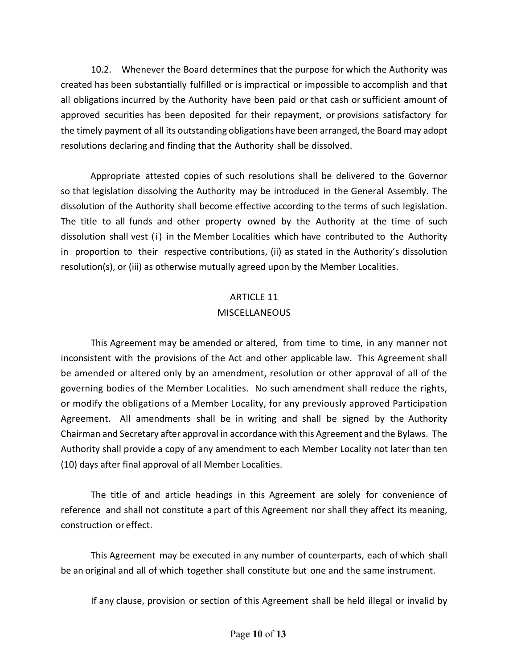10.2. Whenever the Board determines that the purpose for which the Authority was created has been substantially fulfilled or is impractical or impossible to accomplish and that all obligations incurred by the Authority have been paid or that cash or sufficient amount of approved securities has been deposited for their repayment, or provisions satisfactory for the timely payment of all its outstanding obligations have been arranged, the Board may adopt resolutions declaring and finding that the Authority shall be dissolved.

Appropriate attested copies of such resolutions shall be delivered to the Governor so that legislation dissolving the Authority may be introduced in the General Assembly. The dissolution of the Authority shall become effective according to the terms of such legislation. The title to all funds and other property owned by the Authority at the time of such dissolution shall vest (i) in the Member Localities which have contributed to the Authority in proportion to their respective contributions, (ii) as stated in the Authority's dissolution resolution(s), or (iii) as otherwise mutually agreed upon by the Member Localities.

#### ARTICLE 11

#### **MISCELLANEOUS**

This Agreement may be amended or altered, from time to time, in any manner not inconsistent with the provisions of the Act and other applicable law. This Agreement shall be amended or altered only by an amendment, resolution or other approval of all of the governing bodies of the Member Localities. No such amendment shall reduce the rights, or modify the obligations of a Member Locality, for any previously approved Participation Agreement. All amendments shall be in writing and shall be signed by the Authority Chairman and Secretary after approval in accordance with this Agreement and the Bylaws. The Authority shall provide a copy of any amendment to each Member Locality not later than ten (10) days after final approval of all Member Localities.

The title of and article headings in this Agreement are solely for convenience of reference and shall not constitute a part of this Agreement nor shall they affect its meaning, construction or effect.

This Agreement may be executed in any number of counterparts, each of which shall be an original and all of which together shall constitute but one and the same instrument.

If any clause, provision or section of this Agreement shall be held illegal or invalid by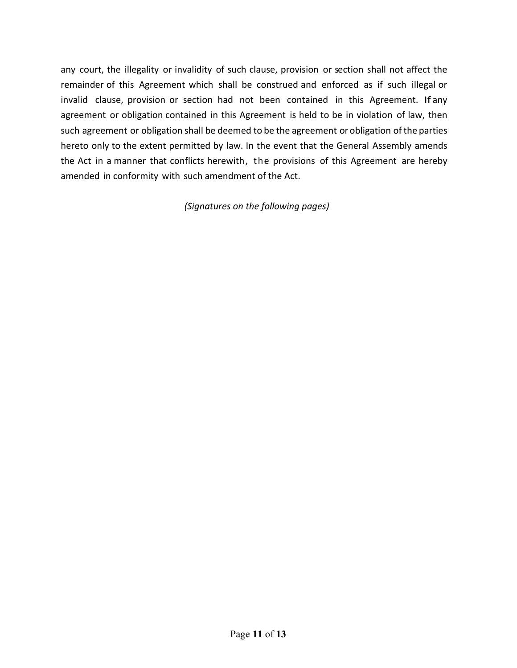any court, the illegality or invalidity of such clause, provision or section shall not affect the remainder of this Agreement which shall be construed and enforced as if such illegal or invalid clause, provision or section had not been contained in this Agreement. If any agreement or obligation contained in this Agreement is held to be in violation of law, then such agreement or obligation shall be deemed to be the agreement or obligation of the parties hereto only to the extent permitted by law. In the event that the General Assembly amends the Act in a manner that conflicts herewith, the provisions of this Agreement are hereby amended in conformity with such amendment of the Act.

*(Signatures on the following pages)*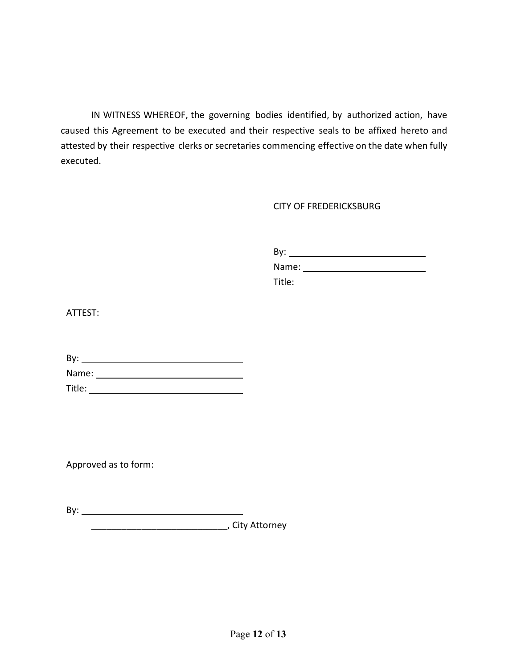IN WITNESS WHEREOF, the governing bodies identified, by authorized action, have caused this Agreement to be executed and their respective seals to be affixed hereto and attested by their respective clerks or secretaries commencing effective on the date when fully executed.

#### CITY OF FREDERICKSBURG

 By: Name: Title:

ATTEST:

| By:    |  |  |
|--------|--|--|
| Name:  |  |  |
| Title: |  |  |

Approved as to form:

| <b>Service</b><br>- |  |  |  |
|---------------------|--|--|--|
|                     |  |  |  |

\_\_\_\_\_\_\_\_\_\_\_\_\_\_\_\_\_\_\_\_\_\_\_\_\_\_\_, City Attorney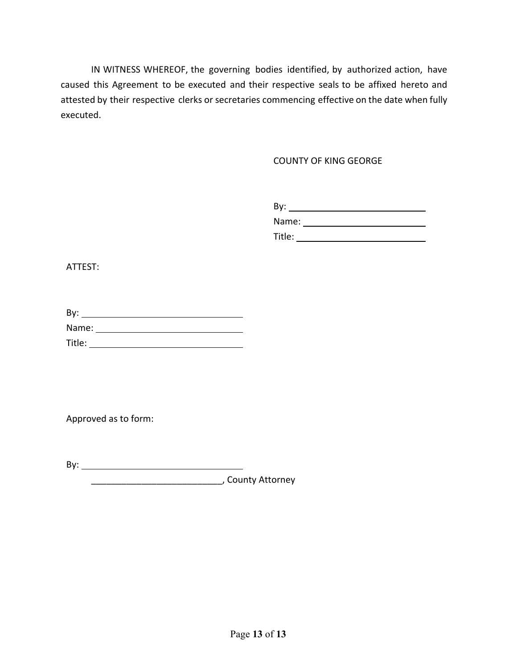IN WITNESS WHEREOF, the governing bodies identified, by authorized action, have caused this Agreement to be executed and their respective seals to be affixed hereto and attested by their respective clerks or secretaries commencing effective on the date when fully executed.

COUNTY OF KING GEORGE

| <br>◡             |
|-------------------|
| Name:<br>$\cdots$ |

Title:

ATTEST:

| By:    |  |  |
|--------|--|--|
| Name:  |  |  |
| Title: |  |  |

Approved as to form:

By:

\_\_\_\_\_\_\_\_\_\_\_\_\_\_\_\_\_\_\_\_\_\_\_\_\_\_, County Attorney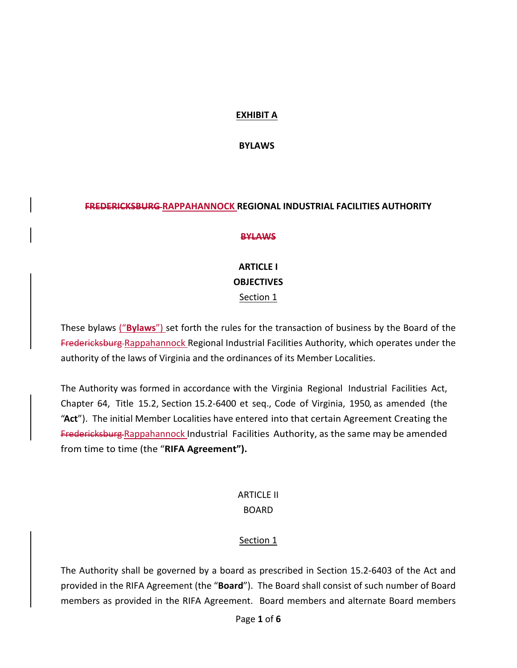### **EXHIBIT A**

**BYLAWS** 

#### **FREDERICKSBURG RAPPAHANNOCK REGIONAL INDUSTRIAL FACILITIES AUTHORITY**

#### **BYLAWS**

# **ARTICLE I OBJECTIVES** Section 1

These bylaws ("**Bylaws**") set forth the rules for the transaction of business by the Board of the Fredericksburg Rappahannock Regional Industrial Facilities Authority, which operates under the authority of the laws of Virginia and the ordinances of its Member Localities.

The Authority was formed in accordance with the Virginia Regional Industrial Facilities Act, Chapter 64, Title 15.2, Section 15.2‐6400 et seq., Code of Virginia, 1950, as amended (the "**Act**"). The initial Member Localities have entered into that certain Agreement Creating the Fredericksburg Rappahannock Industrial Facilities Authority, as the same may be amended from time to time (the "**RIFA Agreement").** 

## ARTICLE II BOARD

## Section 1

The Authority shall be governed by a board as prescribed in Section 15.2‐6403 of the Act and provided in the RIFA Agreement (the "**Board**"). The Board shall consist of such number of Board members as provided in the RIFA Agreement. Board members and alternate Board members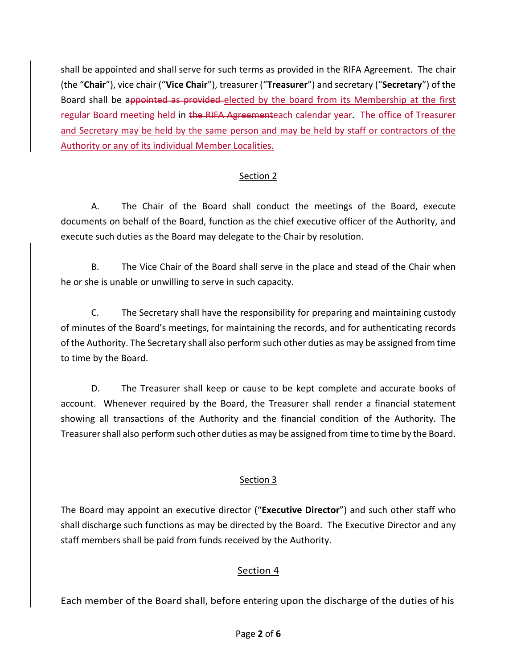shall be appointed and shall serve for such terms as provided in the RIFA Agreement. The chair (the "**Chair**"), vice chair ("**Vice Chair**"), treasurer ("**Treasurer**") and secretary ("**Secretary**") of the Board shall be appointed as provided elected by the board from its Membership at the first regular Board meeting held in the RIFA Agreementeach calendar year. The office of Treasurer and Secretary may be held by the same person and may be held by staff or contractors of the Authority or any of its individual Member Localities.

## Section 2

 A. The Chair of the Board shall conduct the meetings of the Board, execute documents on behalf of the Board, function as the chief executive officer of the Authority, and execute such duties as the Board may delegate to the Chair by resolution.

 B. The Vice Chair of the Board shall serve in the place and stead of the Chair when he or she is unable or unwilling to serve in such capacity.

 C. The Secretary shall have the responsibility for preparing and maintaining custody of minutes of the Board's meetings, for maintaining the records, and for authenticating records of the Authority. The Secretary shall also perform such other duties as may be assigned from time to time by the Board.

D. The Treasurer shall keep or cause to be kept complete and accurate books of account. Whenever required by the Board, the Treasurer shall render a financial statement showing all transactions of the Authority and the financial condition of the Authority. The Treasurer shall also perform such other duties as may be assigned from time to time by the Board.

## Section 3

The Board may appoint an executive director ("**Executive Director**") and such other staff who shall discharge such functions as may be directed by the Board. The Executive Director and any staff members shall be paid from funds received by the Authority.

## Section 4

Each member of the Board shall, before entering upon the discharge of the duties of his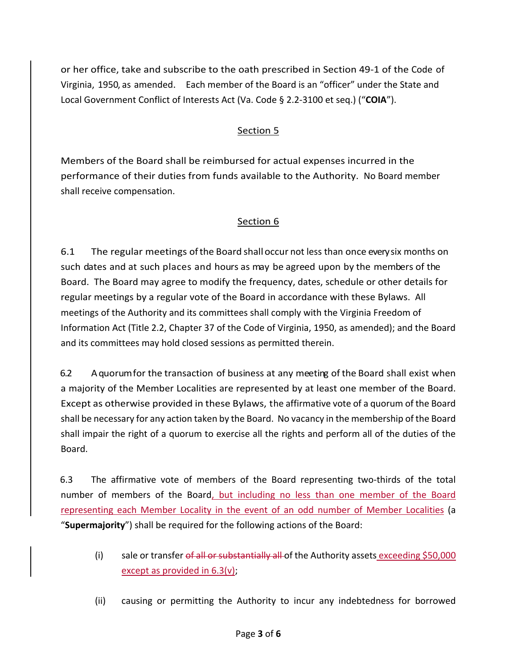or her office, take and subscribe to the oath prescribed in Section 49‐1 of the Code of Virginia, 1950, as amended. Each member of the Board is an "officer" under the State and Local Government Conflict of Interests Act (Va. Code § 2.2‐3100 et seq.) ("**COIA**").

## Section 5

Members of the Board shall be reimbursed for actual expenses incurred in the performance of their duties from funds available to the Authority. No Board member shall receive compensation.

## Section 6

6.1 The regular meetings of the Board shall occur not less than once every six months on such dates and at such places and hours as may be agreed upon by the members of the Board. The Board may agree to modify the frequency, dates, schedule or other details for regular meetings by a regular vote of the Board in accordance with these Bylaws. All meetings of the Authority and its committees shall comply with the Virginia Freedom of Information Act (Title 2.2, Chapter 37 of the Code of Virginia, 1950, as amended); and the Board and its committees may hold closed sessions as permitted therein.

6.2 A quorum for the transaction of business at any meeting of the Board shall exist when a majority of the Member Localities are represented by at least one member of the Board. Except as otherwise provided in these Bylaws, the affirmative vote of a quorum of the Board shall be necessary for any action taken by the Board. No vacancy in the membership of the Board shall impair the right of a quorum to exercise all the rights and perform all of the duties of the Board.

6.3 The affirmative vote of members of the Board representing two-thirds of the total number of members of the Board, but including no less than one member of the Board representing each Member Locality in the event of an odd number of Member Localities (a "**Supermajority**") shall be required for the following actions of the Board:

- (i) sale or transfer of all or substantially all of the Authority assets exceeding \$50,000 except as provided in 6.3(v);
- (ii) causing or permitting the Authority to incur any indebtedness for borrowed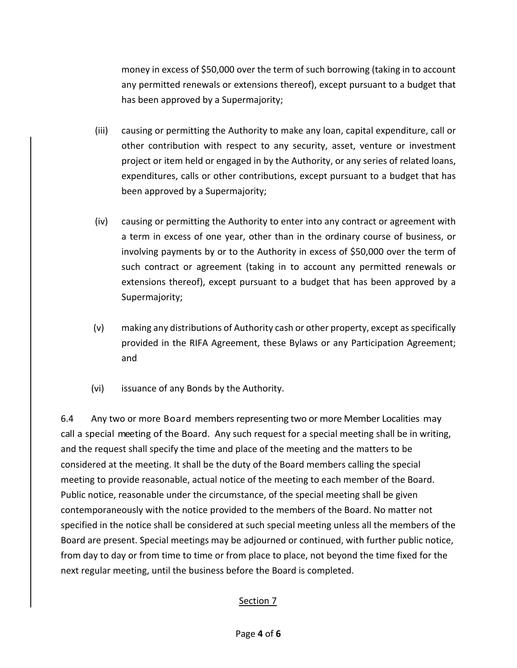money in excess of \$50,000 over the term of such borrowing (taking in to account any permitted renewals or extensions thereof), except pursuant to a budget that has been approved by a Supermajority;

- (iii) causing or permitting the Authority to make any loan, capital expenditure, call or other contribution with respect to any security, asset, venture or investment project or item held or engaged in by the Authority, or any series of related loans, expenditures, calls or other contributions, except pursuant to a budget that has been approved by a Supermajority;
- (iv) causing or permitting the Authority to enter into any contract or agreement with a term in excess of one year, other than in the ordinary course of business, or involving payments by or to the Authority in excess of \$50,000 over the term of such contract or agreement (taking in to account any permitted renewals or extensions thereof), except pursuant to a budget that has been approved by a Supermajority;
- (v) making any distributions of Authority cash or other property, except as specifically provided in the RIFA Agreement, these Bylaws or any Participation Agreement; and
- (vi) issuance of any Bonds by the Authority.

6.4 Any two or more Board members representing two or more Member Localities may call a special meeting of the Board. Any such request for a special meeting shall be in writing, and the request shall specify the time and place of the meeting and the matters to be considered at the meeting. It shall be the duty of the Board members calling the special meeting to provide reasonable, actual notice of the meeting to each member of the Board. Public notice, reasonable under the circumstance, of the special meeting shall be given contemporaneously with the notice provided to the members of the Board. No matter not specified in the notice shall be considered at such special meeting unless all the members of the Board are present. Special meetings may be adjourned or continued, with further public notice, from day to day or from time to time or from place to place, not beyond the time fixed for the next regular meeting, until the business before the Board is completed.

## Section 7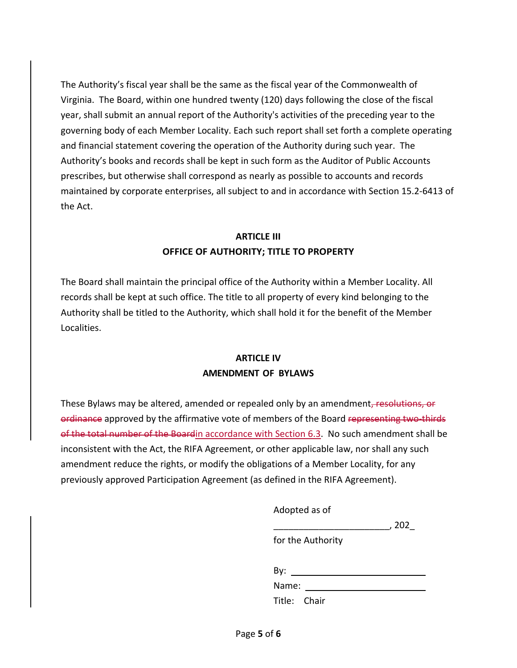The Authority's fiscal year shall be the same as the fiscal year of the Commonwealth of Virginia. The Board, within one hundred twenty (120) days following the close of the fiscal year, shall submit an annual report of the Authority's activities of the preceding year to the governing body of each Member Locality. Each such report shall set forth a complete operating and financial statement covering the operation of the Authority during such year. The Authority's books and records shall be kept in such form as the Auditor of Public Accounts prescribes, but otherwise shall correspond as nearly as possible to accounts and records maintained by corporate enterprises, all subject to and in accordance with Section 15.2‐6413 of the Act.

# **ARTICLE III OFFICE OF AUTHORITY; TITLE TO PROPERTY**

The Board shall maintain the principal office of the Authority within a Member Locality. All records shall be kept at such office. The title to all property of every kind belonging to the Authority shall be titled to the Authority, which shall hold it for the benefit of the Member Localities.

## **ARTICLE IV AMENDMENT OF BYLAWS**

These Bylaws may be altered, amended or repealed only by an amendment, resolutions, or ordinance approved by the affirmative vote of members of the Board representing two-thirds of the total number of the Boardin accordance with Section 6.3. No such amendment shall be inconsistent with the Act, the RIFA Agreement, or other applicable law, nor shall any such amendment reduce the rights, or modify the obligations of a Member Locality, for any previously approved Participation Agreement (as defined in the RIFA Agreement).

| Adopted as of     |     |
|-------------------|-----|
|                   | 202 |
| for the Authority |     |
| By:               |     |
| Name:             |     |
| Title: Chair      |     |